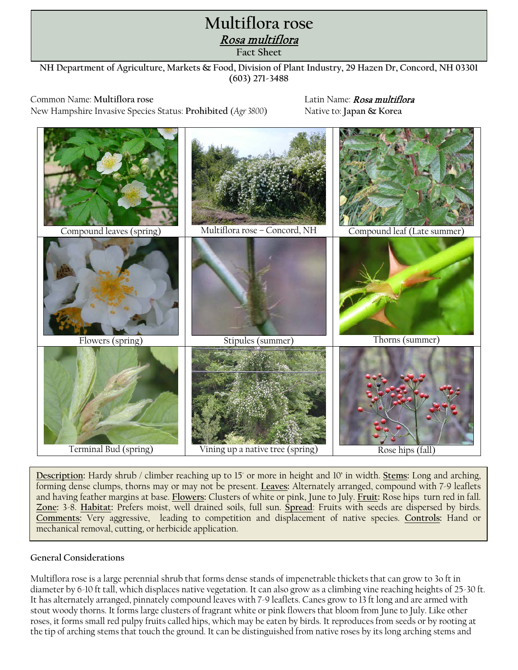## **Oriental bittersweet** Rosa multiflora **Control Guidelines Fact Sheet Multiflora rose**

**NH Department of Agriculture, Markets & Food, Division of Plant Industry, 29 Hazen Dr, Concord, NH 03301 (603) 271-3488**

Common Name: **Multiflora rose** Latin Name: Rosa multiflora New Hampshire Invasive Species Status: Prohibited (*Agr* 3800) Native to: Japan & Korea



**Description:** Hardy shrub / climber reaching up to 15' or more in height and 10' in width. **Stems:** Long and arching, forming dense clumps, thorns may or may not be present. **Leaves:** Alternately arranged, compound with 7-9 leaflets and having feather margins at base. **Flowers:** Clusters of white or pink, June to July. **Fruit:** Rose hips turn red in fall. **Zone:** 3-8. **Habitat:** Prefers moist, well drained soils, full sun. **Spread**: Fruits with seeds are dispersed by birds. **Comments:** Very aggressive, leading to competition and displacement of native species. **Controls:** Hand or mechanical removal, cutting, or herbicide application.

## **General Considerations**

Multiflora rose is a large perennial shrub that forms dense stands of impenetrable thickets that can grow to 3o ft in diameter by 6-10 ft tall, which displaces native vegetation. It can also grow as a climbing vine reaching heights of 25-30 ft. It has alternately arranged, pinnately compound leaves with 7-9 leaflets. Canes grow to 13 ft long and are armed with stout woody thorns. It forms large clusters of fragrant white or pink flowers that bloom from June to July. Like other roses, it forms small red pulpy fruits called hips, which may be eaten by birds. It reproduces from seeds or by rooting at the tip of arching stems that touch the ground. It can be distinguished from native roses by its long arching stems and